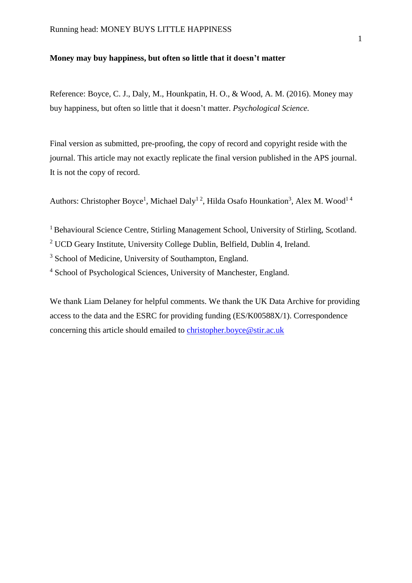## **Money may buy happiness, but often so little that it doesn't matter**

Reference: Boyce, C. J., Daly, M., Hounkpatin, H. O., & Wood, A. M. (2016). Money may buy happiness, but often so little that it doesn't matter. *Psychological Science.*

Final version as submitted, pre-proofing, the copy of record and copyright reside with the journal. This article may not exactly replicate the final version published in the APS journal. It is not the copy of record.

Authors: Christopher Boyce<sup>1</sup>, Michael Daly<sup>12</sup>, Hilda Osafo Hounkation<sup>3</sup>, Alex M. Wood<sup>14</sup>

<sup>1</sup> Behavioural Science Centre, Stirling Management School, University of Stirling, Scotland.

<sup>2</sup> UCD Geary Institute, University College Dublin, Belfield, Dublin 4, Ireland.

<sup>3</sup> School of Medicine, University of Southampton, England.

<sup>4</sup> School of Psychological Sciences, University of Manchester, England.

We thank Liam Delaney for helpful comments. We thank the UK Data Archive for providing access to the data and the ESRC for providing funding (ES/K00588X/1). Correspondence concerning this article should emailed to [christopher.boyce@stir.ac.uk](mailto:christopher.boyce@stir.ac.uk)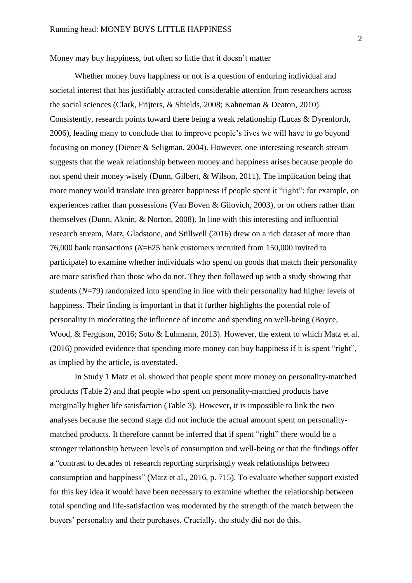Money may buy happiness, but often so little that it doesn't matter

Whether money buys happiness or not is a question of enduring individual and societal interest that has justifiably attracted considerable attention from researchers across the social sciences (Clark, Frijters, & Shields, 2008; Kahneman & Deaton, 2010). Consistently, research points toward there being a weak relationship (Lucas & Dyrenforth, 2006), leading many to conclude that to improve people's lives we will have to go beyond focusing on money (Diener & Seligman, 2004). However, one interesting research stream suggests that the weak relationship between money and happiness arises because people do not spend their money wisely (Dunn, Gilbert, & Wilson, 2011). The implication being that more money would translate into greater happiness if people spent it "right"; for example, on experiences rather than possessions (Van Boven & Gilovich, 2003), or on others rather than themselves (Dunn, Aknin, & Norton, 2008). In line with this interesting and influential research stream, Matz, Gladstone, and Stillwell (2016) drew on a rich dataset of more than 76,000 bank transactions (*N*=625 bank customers recruited from 150,000 invited to participate) to examine whether individuals who spend on goods that match their personality are more satisfied than those who do not. They then followed up with a study showing that students (*N*=79) randomized into spending in line with their personality had higher levels of happiness. Their finding is important in that it further highlights the potential role of personality in moderating the influence of income and spending on well-being (Boyce, Wood, & Ferguson, 2016; Soto & Luhmann, 2013). However, the extent to which Matz et al. (2016) provided evidence that spending more money can buy happiness if it is spent "right", as implied by the article, is overstated.

In Study 1 Matz et al. showed that people spent more money on personality-matched products (Table 2) and that people who spent on personality-matched products have marginally higher life satisfaction (Table 3). However, it is impossible to link the two analyses because the second stage did not include the actual amount spent on personalitymatched products. It therefore cannot be inferred that if spent "right" there would be a stronger relationship between levels of consumption and well-being or that the findings offer a "contrast to decades of research reporting surprisingly weak relationships between consumption and happiness" (Matz et al., 2016, p. 715). To evaluate whether support existed for this key idea it would have been necessary to examine whether the relationship between total spending and life-satisfaction was moderated by the strength of the match between the buyers' personality and their purchases. Crucially, the study did not do this.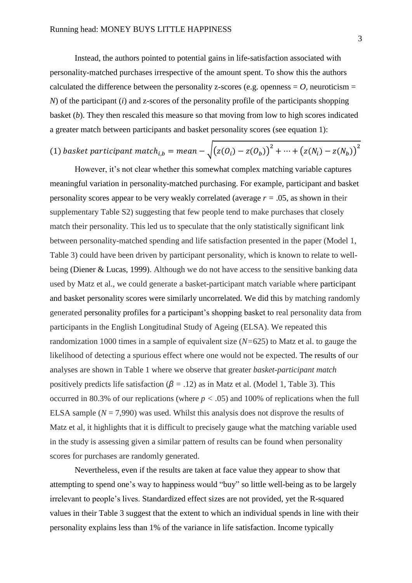Instead, the authors pointed to potential gains in life-satisfaction associated with personality-matched purchases irrespective of the amount spent. To show this the authors calculated the difference between the personality z-scores (e.g. openness  $=$  *O*, neuroticism  $=$ *N*) of the participant (*i*) and z-scores of the personality profile of the participants shopping basket (*b*). They then rescaled this measure so that moving from low to high scores indicated a greater match between participants and basket personality scores (see equation 1):

## (1) basket participant match<sub>i,b</sub> = mean  $-\sqrt{(z(O_i)-z(O_b))}^2+\cdots+(z(N_i)-z(N_b))^{2}$

However, it's not clear whether this somewhat complex matching variable captures meaningful variation in personality-matched purchasing. For example, participant and basket personality scores appear to be very weakly correlated (average *r =* .05, as shown in their supplementary Table S2) suggesting that few people tend to make purchases that closely match their personality. This led us to speculate that the only statistically significant link between personality-matched spending and life satisfaction presented in the paper (Model 1, Table 3) could have been driven by participant personality, which is known to relate to wellbeing (Diener & Lucas, 1999). Although we do not have access to the sensitive banking data used by Matz et al., we could generate a basket-participant match variable where participant and basket personality scores were similarly uncorrelated. We did this by matching randomly generated personality profiles for a participant's shopping basket to real personality data from participants in the English Longitudinal Study of Ageing (ELSA). We repeated this randomization 1000 times in a sample of equivalent size (*N=*625) to Matz et al. to gauge the likelihood of detecting a spurious effect where one would not be expected. The results of our analyses are shown in Table 1 where we observe that greater *basket-participant match*  positively predicts life satisfaction ( $\beta$  = .12) as in Matz et al. (Model 1, Table 3). This occurred in 80.3% of our replications (where  $p < .05$ ) and 100% of replications when the full ELSA sample  $(N = 7,990)$  was used. Whilst this analysis does not disprove the results of Matz et al, it highlights that it is difficult to precisely gauge what the matching variable used in the study is assessing given a similar pattern of results can be found when personality scores for purchases are randomly generated.

Nevertheless, even if the results are taken at face value they appear to show that attempting to spend one's way to happiness would "buy" so little well-being as to be largely irrelevant to people's lives. Standardized effect sizes are not provided, yet the R-squared values in their Table 3 suggest that the extent to which an individual spends in line with their personality explains less than 1% of the variance in life satisfaction. Income typically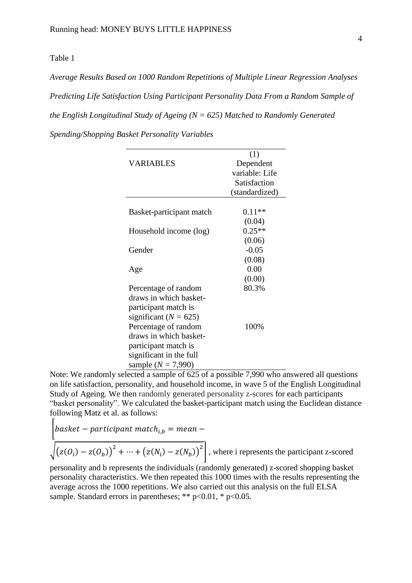Table 1

*Average Results Based on 1000 Random Repetitions of Multiple Linear Regression Analyses Predicting Life Satisfaction Using Participant Personality Data From a Random Sample of the English Longitudinal Study of Ageing (N = 625) Matched to Randomly Generated* 

*Spending/Shopping Basket Personality Variables*

| (1)            |      |
|----------------|------|
| Dependent      |      |
| variable: Life |      |
| Satisfaction   |      |
| (standardized) |      |
|                |      |
| $0.11**$       |      |
| (0.04)         |      |
| $0.25**$       |      |
| (0.06)         |      |
| $-0.05$        |      |
| (0.08)         |      |
| 0.00           |      |
| (0.00)         |      |
| 80.3%          |      |
|                |      |
|                |      |
|                | 100% |
|                |      |
|                |      |

Note: We randomly selected a sample of  $625$  of a possible 7,990 who answered all questions on life satisfaction, personality, and household income, in wave 5 of the English Longitudinal Study of Ageing. We then randomly generated personality z-scores for each participants "basket personality". We calculated the basket-participant match using the Euclidean distance following Matz et al. as follows:  $\Gamma$ 

$$
\begin{aligned}\n\left[\begin{array}{c}\n\text{base}t - \text{participant match}_{i,b} = \text{mean} - \\
\sqrt{(z(O_i) - z(O_b))}^2 + \dots + (z(N_i) - z(N_b))^2\n\end{array}\right], \text{ where } i \text{ represents the participant z-scored}\n\end{aligned}
$$

personality and b represents the individuals (randomly generated) z-scored shopping basket personality characteristics. We then repeated this 1000 times with the results representing the average across the 1000 repetitions. We also carried out this analysis on the full ELSA sample. Standard errors in parentheses: \*\*  $p < 0.01$ , \*  $p < 0.05$ .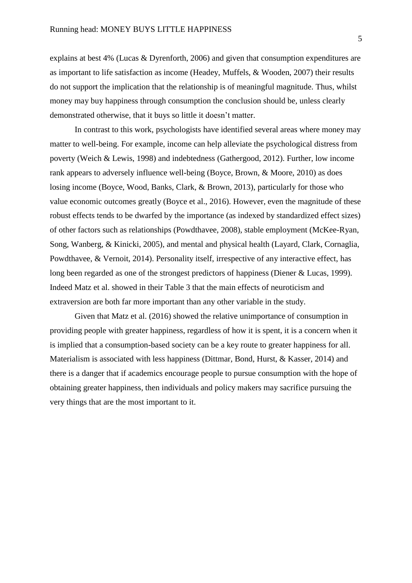explains at best 4% (Lucas & Dyrenforth, 2006) and given that consumption expenditures are as important to life satisfaction as income (Headey, Muffels, & Wooden, 2007) their results do not support the implication that the relationship is of meaningful magnitude. Thus, whilst money may buy happiness through consumption the conclusion should be, unless clearly demonstrated otherwise, that it buys so little it doesn't matter.

In contrast to this work, psychologists have identified several areas where money may matter to well-being. For example, income can help alleviate the psychological distress from poverty (Weich & Lewis, 1998) and indebtedness (Gathergood, 2012). Further, low income rank appears to adversely influence well-being (Boyce, Brown, & Moore, 2010) as does losing income (Boyce, Wood, Banks, Clark, & Brown, 2013), particularly for those who value economic outcomes greatly (Boyce et al., 2016). However, even the magnitude of these robust effects tends to be dwarfed by the importance (as indexed by standardized effect sizes) of other factors such as relationships (Powdthavee, 2008), stable employment (McKee-Ryan, Song, Wanberg, & Kinicki, 2005), and mental and physical health (Layard, Clark, Cornaglia, Powdthavee, & Vernoit, 2014). Personality itself, irrespective of any interactive effect, has long been regarded as one of the strongest predictors of happiness (Diener & Lucas, 1999). Indeed Matz et al. showed in their Table 3 that the main effects of neuroticism and extraversion are both far more important than any other variable in the study.

Given that Matz et al. (2016) showed the relative unimportance of consumption in providing people with greater happiness, regardless of how it is spent, it is a concern when it is implied that a consumption-based society can be a key route to greater happiness for all. Materialism is associated with less happiness (Dittmar, Bond, Hurst, & Kasser, 2014) and there is a danger that if academics encourage people to pursue consumption with the hope of obtaining greater happiness, then individuals and policy makers may sacrifice pursuing the very things that are the most important to it.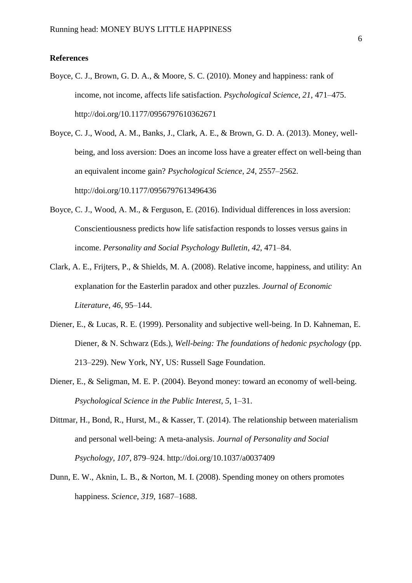## **References**

- Boyce, C. J., Brown, G. D. A., & Moore, S. C. (2010). Money and happiness: rank of income, not income, affects life satisfaction. *Psychological Science*, *21*, 471–475. http://doi.org/10.1177/0956797610362671
- Boyce, C. J., Wood, A. M., Banks, J., Clark, A. E., & Brown, G. D. A. (2013). Money, wellbeing, and loss aversion: Does an income loss have a greater effect on well-being than an equivalent income gain? *Psychological Science*, *24*, 2557–2562. http://doi.org/10.1177/0956797613496436
- Boyce, C. J., Wood, A. M., & Ferguson, E. (2016). Individual differences in loss aversion: Conscientiousness predicts how life satisfaction responds to losses versus gains in income. *Personality and Social Psychology Bulletin*, *42*, 471–84.
- Clark, A. E., Frijters, P., & Shields, M. A. (2008). Relative income, happiness, and utility: An explanation for the Easterlin paradox and other puzzles. *Journal of Economic Literature*, *46*, 95–144.
- Diener, E., & Lucas, R. E. (1999). Personality and subjective well-being. In D. Kahneman, E. Diener, & N. Schwarz (Eds.), *Well-being: The foundations of hedonic psychology* (pp. 213–229). New York, NY, US: Russell Sage Foundation.
- Diener, E., & Seligman, M. E. P. (2004). Beyond money: toward an economy of well-being. *Psychological Science in the Public Interest*, *5*, 1–31.
- Dittmar, H., Bond, R., Hurst, M., & Kasser, T. (2014). The relationship between materialism and personal well-being: A meta-analysis. *Journal of Personality and Social Psychology*, *107*, 879–924. http://doi.org/10.1037/a0037409
- Dunn, E. W., Aknin, L. B., & Norton, M. I. (2008). Spending money on others promotes happiness. *Science*, *319*, 1687–1688.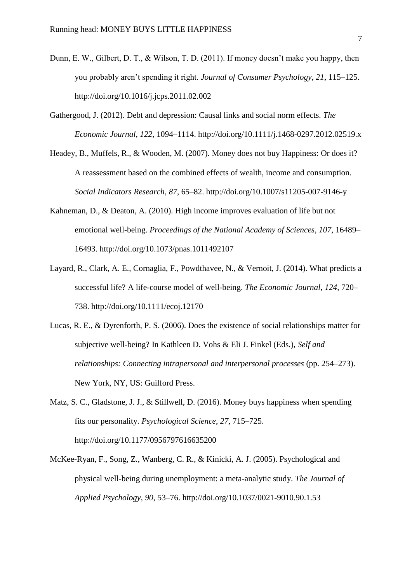- Dunn, E. W., Gilbert, D. T., & Wilson, T. D. (2011). If money doesn't make you happy, then you probably aren't spending it right. *Journal of Consumer Psychology*, *21*, 115–125. http://doi.org/10.1016/j.jcps.2011.02.002
- Gathergood, J. (2012). Debt and depression: Causal links and social norm effects. *The Economic Journal*, *122*, 1094–1114. http://doi.org/10.1111/j.1468-0297.2012.02519.x
- Headey, B., Muffels, R., & Wooden, M. (2007). Money does not buy Happiness: Or does it? A reassessment based on the combined effects of wealth, income and consumption. *Social Indicators Research*, *87*, 65–82. http://doi.org/10.1007/s11205-007-9146-y
- Kahneman, D., & Deaton, A. (2010). High income improves evaluation of life but not emotional well-being. *Proceedings of the National Academy of Sciences*, *107*, 16489– 16493. http://doi.org/10.1073/pnas.1011492107
- Layard, R., Clark, A. E., Cornaglia, F., Powdthavee, N., & Vernoit, J. (2014). What predicts a successful life? A life-course model of well-being. *The Economic Journal*, *124*, 720– 738. http://doi.org/10.1111/ecoj.12170
- Lucas, R. E., & Dyrenforth, P. S. (2006). Does the existence of social relationships matter for subjective well-being? In Kathleen D. Vohs & Eli J. Finkel (Eds.), *Self and relationships: Connecting intrapersonal and interpersonal processes* (pp. 254–273). New York, NY, US: Guilford Press.
- Matz, S. C., Gladstone, J. J., & Stillwell, D. (2016). Money buys happiness when spending fits our personality. *Psychological Science*, *27*, 715–725. http://doi.org/10.1177/0956797616635200
- McKee-Ryan, F., Song, Z., Wanberg, C. R., & Kinicki, A. J. (2005). Psychological and physical well-being during unemployment: a meta-analytic study. *The Journal of Applied Psychology*, *90*, 53–76. http://doi.org/10.1037/0021-9010.90.1.53